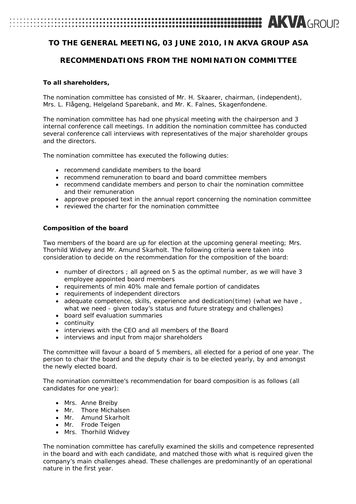# **AKVA**GROUP

# **TO THE GENERAL MEETING, 03 JUNE 2010, IN AKVA GROUP ASA**

# **RECOMMENDATIONS FROM THE NOMINATION COMMITTEE**

## **To all shareholders,**

The nomination committee has consisted of Mr. H. Skaarer, chairman, (independent), Mrs. L. Flågeng, Helgeland Sparebank, and Mr. K. Falnes, Skagenfondene.

The nomination committee has had one physical meeting with the chairperson and 3 internal conference call meetings. In addition the nomination committee has conducted several conference call interviews with representatives of the major shareholder groups and the directors.

The nomination committee has executed the following duties:

- recommend candidate members to the board
- recommend remuneration to board and board committee members
- recommend candidate members and person to chair the nomination committee and their remuneration
- approve proposed text in the annual report concerning the nomination committee
- reviewed the charter for the nomination committee

### **Composition of the board**

Two members of the board are up for election at the upcoming general meeting; Mrs. Thorhild Widvey and Mr. Amund Skarholt. The following criteria were taken into consideration to decide on the recommendation for the composition of the board:

- number of directors ; all agreed on 5 as the optimal number, as we will have 3 employee appointed board members
- requirements of min 40% male and female portion of candidates
- requirements of independent directors
- adequate competence, skills, experience and dedication(time) (what we have , what we need - given today's status and future strategy and challenges)
- board self evaluation summaries
- continuity
- interviews with the CEO and all members of the Board
- interviews and input from major shareholders

The committee will favour a board of 5 members, all elected for a period of one year. The person to chair the board and the deputy chair is to be elected yearly, by and amongst the newly elected board.

The nomination committee's recommendation for board composition is as follows (all candidates for one year):

- Mrs. Anne Breiby
- Mr. Thore Michalsen
- Mr. Amund Skarholt
- Mr. Frode Teigen
- Mrs. Thorhild Widvey

The nomination committee has carefully examined the skills and competence represented in the board and with each candidate, and matched those with what is required given the company's main challenges ahead. These challenges are predominantly of an operational nature in the first year.